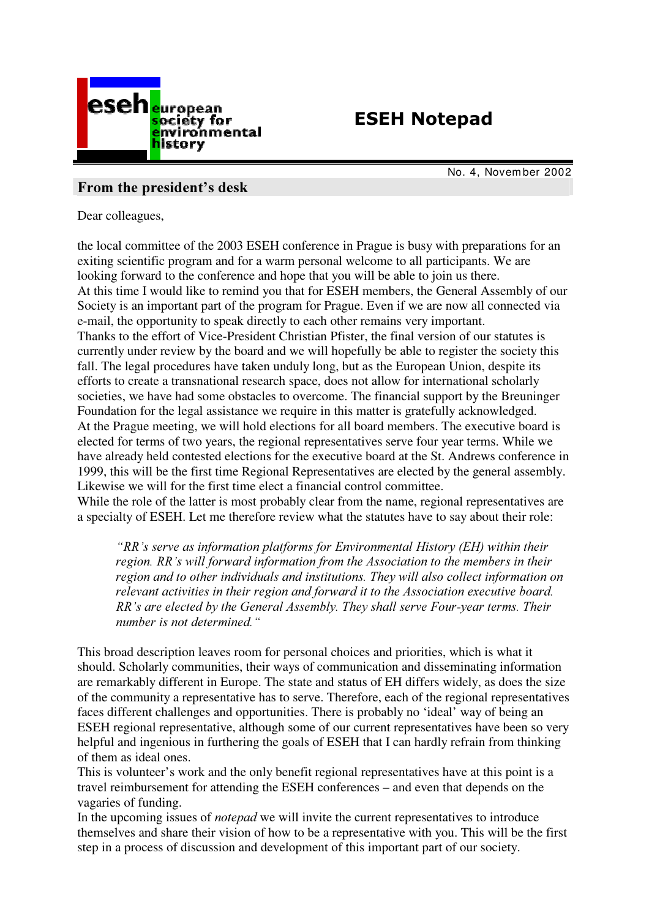

# **ESEH Notepad**

No. 4, Novem ber 2002

## From the president's desk

Dear colleagues,

the local committee of the 2003 ESEH conference in Prague is busy with preparations for an exiting scientific program and for a warm personal welcome to all participants. We are looking forward to the conference and hope that you will be able to join us there. At this time I would like to remind you that for ESEH members, the General Assembly of our Society is an important part of the program for Prague. Even if we are now all connected via e-mail, the opportunity to speak directly to each other remains very important. Thanks to the effort of Vice-President Christian Pfister, the final version of our statutes is currently under review by the board and we will hopefully be able to register the society this fall. The legal procedures have taken unduly long, but as the European Union, despite its efforts to create a transnational research space, does not allow for international scholarly societies, we have had some obstacles to overcome. The financial support by the Breuninger Foundation for the legal assistance we require in this matter is gratefully acknowledged. At the Prague meeting, we will hold elections for all board members. The executive board is elected for terms of two years, the regional representatives serve four year terms. While we have already held contested elections for the executive board at the St. Andrews conference in 1999, this will be the first time Regional Representatives are elected by the general assembly. Likewise we will for the first time elect a financial control committee.

While the role of the latter is most probably clear from the name, regional representatives are a specialty of ESEH. Let me therefore review what the statutes have to say about their role:

"RR's serve as information platforms for Environmental History (EH) within their region. RR's will forward information from the Association to the members in their region and to other individuals and institutions. They will also collect information on relevant activities in their region and forward it to the Association executive board.  $RR$ 's are elected by the General Assembly. They shall serve Four-year terms. Their number is not determined.

This broad description leaves room for personal choices and priorities, which is what it should. Scholarly communities, their ways of communication and disseminating information are remarkably different in Europe. The state and status of EH differs widely, as does the size of the community a representative has to serve. Therefore, each of the regional representatives faces different challenges and opportunities. There is probably no 'ideal' way of being an ESEH regional representative, although some of our current representatives have been so very helpful and ingenious in furthering the goals of ESEH that I can hardly refrain from thinking of them as ideal ones.

This is volunteer's work and the only benefit regional representatives have at this point is a travel reimbursement for attending the ESEH conferences – and even that depends on the vagaries of funding.

In the upcoming issues of *notepad* we will invite the current representatives to introduce themselves and share their vision of how to be a representative with you. This will be the first step in a process of discussion and development of this important part of our society.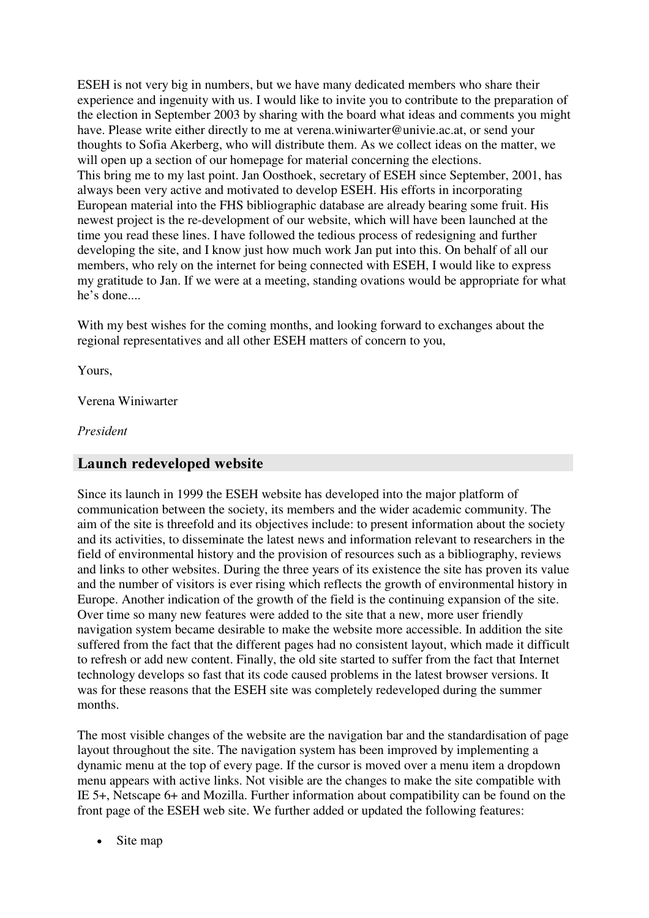ESEH is not very big in numbers, but we have many dedicated members who share their experience and ingenuity with us. I would like to invite you to contribute to the preparation of the election in September 2003 by sharing with the board what ideas and comments you might have. Please write either directly to me at verena.winiwarter@univie.ac.at, or send your thoughts to Sofia Akerberg, who will distribute them. As we collect ideas on the matter, we will open up a section of our homepage for material concerning the elections. This bring me to my last point. Jan Oosthoek, secretary of ESEH since September, 2001, has always been very active and motivated to develop ESEH. His efforts in incorporating European material into the FHS bibliographic database are already bearing some fruit. His newest project is the re-development of our website, which will have been launched at the time you read these lines. I have followed the tedious process of redesigning and further developing the site, and I know just how much work Jan put into this. On behalf of all our members, who rely on the internet for being connected with ESEH, I would like to express my gratitude to Jan. If we were at a meeting, standing ovations would be appropriate for what he's done....

With my best wishes for the coming months, and looking forward to exchanges about the regional representatives and all other ESEH matters of concern to you,

Yours,

Verena Winiwarter

President

### Launch redeveloped website

Since its launch in 1999 the ESEH website has developed into the major platform of communication between the society, its members and the wider academic community. The aim of the site is threefold and its objectives include: to present information about the society and its activities, to disseminate the latest news and information relevant to researchers in the field of environmental history and the provision of resources such as a bibliography, reviews and links to other websites. During the three years of its existence the site has proven its value and the number of visitors is ever rising which reflects the growth of environmental history in Europe. Another indication of the growth of the field is the continuing expansion of the site. Over time so many new features were added to the site that a new, more user friendly navigation system became desirable to make the website more accessible. In addition the site suffered from the fact that the different pages had no consistent layout, which made it difficult to refresh or add new content. Finally, the old site started to suffer from the fact that Internet technology develops so fast that its code caused problems in the latest browser versions. It was for these reasons that the ESEH site was completely redeveloped during the summer months.

The most visible changes of the website are the navigation bar and the standardisation of page layout throughout the site. The navigation system has been improved by implementing a dynamic menu at the top of every page. If the cursor is moved over a menu item a dropdown menu appears with active links. Not visible are the changes to make the site compatible with IE 5+, Netscape 6+ and Mozilla. Further information about compatibility can be found on the front page of the ESEH web site. We further added or updated the following features:

• Site map